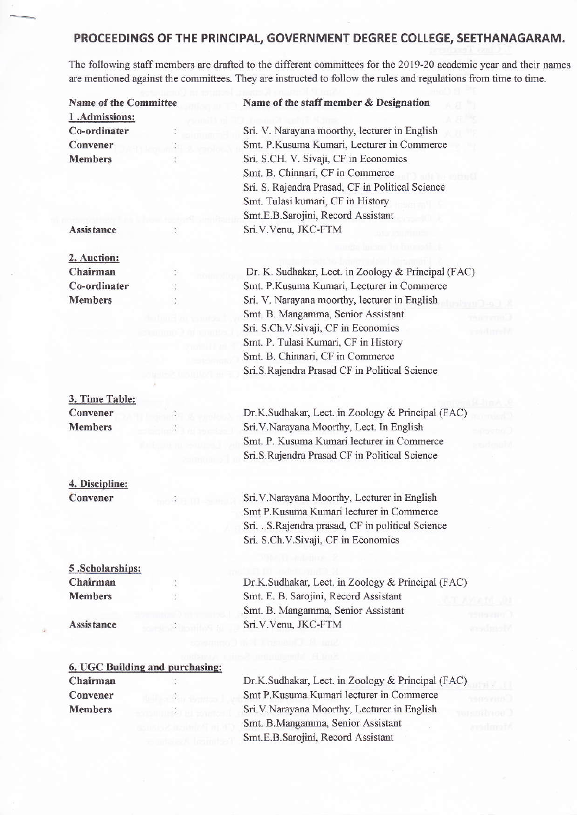# PROCEEDINGS OF THE PRINCIPAL, GOVERNMENT DEGREE COLLEGE, SEETHANAGARAM.

The following staff members are drafted to the different committees for the 2019-20 academic year and their names are mentioned against the committees. They are instructed to follow the rules and regulations from time to time.

| <b>Name of the Committee</b>    | Name of the staff member & Designation              |
|---------------------------------|-----------------------------------------------------|
| 1.Admissions:                   |                                                     |
| Co-ordinater                    | Sri. V. Narayana moorthy, lecturer in English       |
| Convener                        | Smt. P.Kusuma Kumari, Lecturer in Commerce          |
| <b>Members</b>                  | Sri. S.CH. V. Sivaji, CF in Economics               |
|                                 | Smt. B. Chinnari, CF in Commerce                    |
|                                 | Sri. S. Rajendra Prasad, CF in Political Science    |
|                                 | Smt. Tulasi kumari, CF in History                   |
|                                 | Smt.E.B.Sarojini, Record Assistant                  |
| <b>Assistance</b>               | Sri.V.Venu, JKC-FTM                                 |
|                                 |                                                     |
| 2. Auction:                     |                                                     |
| Chairman                        | Dr. K. Sudhakar, Lect. in Zoology & Principal (FAC) |
| Co-ordinater                    | Smt. P.Kusuma Kumari, Lecturer in Commerce          |
| <b>Members</b>                  | Sri. V. Narayana moorthy, lecturer in English       |
|                                 |                                                     |
|                                 | Smt. B. Mangamma, Senior Assistant                  |
|                                 | Sri. S.Ch.V.Sivaji, CF in Economics                 |
|                                 | Smt. P. Tulasi Kumari, CF in History                |
|                                 | Smt. B. Chinnari, CF in Commerce                    |
|                                 | Sri.S.Rajendra Prasad CF in Political Science       |
|                                 |                                                     |
| 3. Time Table:                  |                                                     |
| Convener                        | Dr.K.Sudhakar, Lect. in Zoology & Principal (FAC)   |
| <b>Members</b>                  | Sri.V.Narayana Moorthy, Lect. In English            |
|                                 | Smt. P. Kusuma Kumari lecturer in Commerce          |
|                                 | Sri.S.Rajendra Prasad CF in Political Science       |
|                                 |                                                     |
| 4. Discipline:                  |                                                     |
| Convener                        | Sri.V.Narayana Moorthy, Lecturer in English         |
|                                 | Smt P.Kusuma Kumari lecturer in Commerce            |
|                                 | Sri. . S.Rajendra prasad, CF in political Science   |
|                                 | Sri. S.Ch. V. Sivaji, CF in Economics               |
|                                 |                                                     |
| 5.Scholarships:                 |                                                     |
| Chairman                        | Dr.K.Sudhakar, Lect. in Zoology & Principal (FAC)   |
| <b>Members</b>                  | Smt. E. B. Sarojini, Record Assistant               |
|                                 | Smt. B. Mangamma, Senior Assistant                  |
| <b>Assistance</b>               | Sri.V.Venu, JKC-FTM                                 |
|                                 |                                                     |
|                                 |                                                     |
| 6. UGC Building and purchasing: |                                                     |
| Chairman                        | Dr.K.Sudhakar, Lect. in Zoology & Principal (FAC)   |
| Convener                        | Smt P.Kusuma Kumari lecturer in Commerce            |
| <b>Members</b>                  | Sri.V.Narayana Moorthy, Lecturer in English         |
|                                 | Smt. B.Mangamma, Senior Assistant                   |
|                                 | Smt.E.B.Sarojini, Record Assistant                  |
|                                 |                                                     |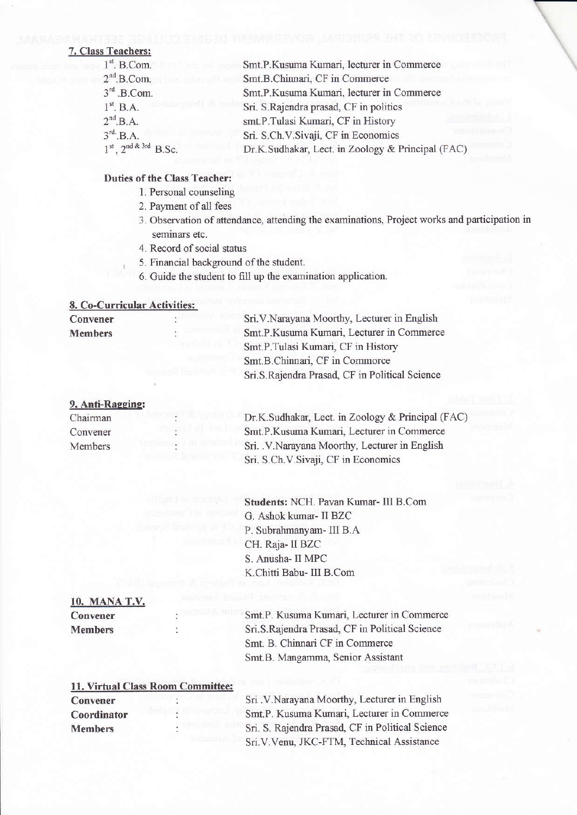# 7. Class Teachers:

| $1st$ . B.Com.                   | Smt.P.Kusuma Kumari, lecturer in Commerce         |
|----------------------------------|---------------------------------------------------|
| $2nd$ .B.Com.                    | Smt.B.Chinnari, CF in Commerce                    |
| $3rd$ .B.Com.                    | Smt.P.Kusuma Kumari, lecturer in Commerce         |
| $1st$ , B.A.                     | Sri. S.Rajendra prasad, CF in politics            |
| $2nd$ .B.A.                      | smt.P.Tulasi Kumari, CF in History                |
| $3rd$ .B.A.                      | Sri. S.Ch.V.Sivaji, CF in Economics               |
| $1^{st}$ , $2^{nd \& 3rd}$ B.Sc. | Dr.K.Sudhakar, Lect. in Zoology & Principal (FAC) |

# **Duties of the Class Teacher:**

1. Personal counseling

2. Payment of all fees

- 3. Observation of attendance, attending the examinations, Project works and participation in seminars etc.
- 4. Record of social status
- 5. Financial background of the student.
- 6. Guide the student to fill up the examination application.

# 8. Co-Curricular Activities:

| Convener       | Sri.V.Narayana Moorthy, Lecturer in English    |
|----------------|------------------------------------------------|
| <b>Members</b> | Smt.P.Kusuma Kumari, Lecturer in Commerce      |
|                | Smt.P.Tulasi Kumari, CF in History             |
|                | Smt.B.Chinnari, CF in Commorce                 |
|                | Sri.S.Rajendra Prasad, CF in Political Science |
|                |                                                |

# 9. Anti-Ragging:

| Chairman | Dr.K.Sudhakar, Lect. in Zoology & Principal (FAC) |
|----------|---------------------------------------------------|
| Convener | Smt.P.Kusuma Kumari, Lecturer in Commerce         |
| Members  | Sri. V. Narayana Moorthy, Lecturer in English     |
|          | Sri. S.Ch. V. Sivaji, CF in Economics             |

Students: NCH. Pavan Kumar- III B.Com G. Ashok kumar- II BZC P. Subrahmanyam- III B.A CH. Raja- II BZC S. Anusha- II MPC K.Chitti Babu- III B.Com

# 10. MANA T.V. Convener **Members**

Smt.P. Kusuma Kumari, Lecturer in Commerce Sri.S.Rajendra Prasad, CF in Political Science Smt. B. Chinnari CF in Commerce Smt.B. Mangamma, Senior Assistant

| 11. Virtual Class Room Committee: |  |  |  |  |
|-----------------------------------|--|--|--|--|
| Convener                          |  |  |  |  |
| Coordinator                       |  |  |  |  |
| <b>Members</b>                    |  |  |  |  |
|                                   |  |  |  |  |

Sri .V.Narayana Moorthy, Lecturer in English Smt.P. Kusuma Kumari, Lecturer in Commerce Sri. S. Rajendra Prasad, CF in Political Science Sri.V.Venu, JKC-FTM, Technical Assistance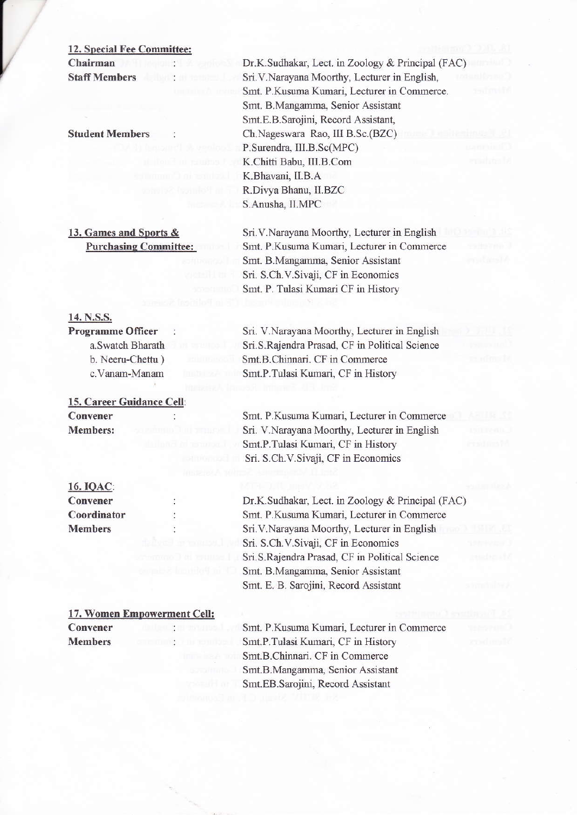### 12. Special Fee Committee:

Chairman . **Staff Members** 

Student Members

13. Games and Sports & Purchasinq Committee:

# 14. N.S.S.

Programme Officer a.Swatch Bharath b. Neeru-Chettu ) c. Vanam-Manam

15. Career Guidance Cell: Convener  $\cdot$ Members:

# 16\_IQ4g:

Convener Coordinator Members

17. Women Empowerment Cell: Convener **Members** 

Dr.K.Sudhakar, Lect. in Zoology & Principal (FAC) Sri.V.Narayana Moorthy, Lecturer in English, Smt. P.Kusuma Kumari, Lecturer in Commerce. Smt. B.Mangamma, Senior Assistant Smt.E.B.Sarojini, Record Assistant, Ch.Nageswam Rao, IlI B.SC.(BZC) P.Surendra, III.B.Sc(MPC) K.Chitti Babu, III.B.Com K.Bhavani, II.B.A. R.Divya Bhanu, II.BZC S.Anusha, II.MPC

Sri.V.Narayana Moorthy, Lecturer in English Smt. P.Kusuma Kumari, Lecturer in Commerce Smt. B.Mangamma, Senior Assistant Sri. S.Ch.V.Sivaji, CF in Economics Smt. P. Tulasi Kumari CF in History

Sri. V.Narayana Moorthy, Lecturer in English Sri.S.Rajendra Prasad, CF in Political Science Smt.B.Chimari. CF in Commerce Smt.P.Tulasi Kumari, CF in History

Smt. P.Kusuma Kumari, Lecturer in Commerce Sri. V.Narayana Moorthy, Lecturer in English Smt.P.Tulasi Kumari, CF in History Sri. S.Ch.V.Sivaji, CF in Economics

Dr.K.Sudhakar, Lect. in Zoology & Principal (FAC) Smt. P.Kusuma Kumari, Lecturer in Commerce Sri.V.Narayana Moorthy, Lecturer in English Sri. S.Ch. V. Sivaji, CF in Economics Sri.S.Rajendra Prasad, CF in Political Science Smt. B.Mangamma, Senior Assistant Smt. E. B. Sarojini, Record Assistant

Smt. P.Kusuma Kumari, Lecturer in Commerce Smt.P.Tulasi Kumari, CF in History Smt.B.Chinnari. CF in Commerce Smt.B.Mangamma, Senior Assistant Smt. EB. Sarojini, Record Assistant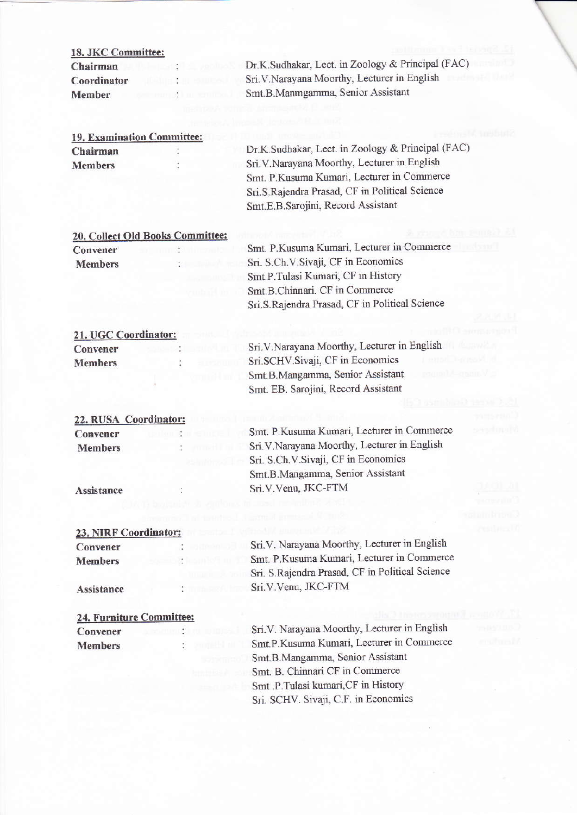| 18. JKC Committee:                   |         |                                                   |
|--------------------------------------|---------|---------------------------------------------------|
| Chairman                             |         | Dr.K.Sudhakar, Lect. in Zoology & Principal (FAC) |
| Coordinator                          |         | Sri. V. Narayana Moorthy, Lecturer in English     |
| <b>Member</b>                        |         | Smt.B.Manmgamma, Senior Assistant                 |
|                                      |         |                                                   |
|                                      |         |                                                   |
| 19. Examination Committee:           |         |                                                   |
| Chairman                             |         | Dr.K.Sudhakar, Lect. in Zoology & Principal (FAC) |
| <b>Members</b>                       |         | Sri.V.Narayana Moorthy, Lecturer in English       |
|                                      |         | Smt. P.Kusuma Kumari, Lecturer in Commerce        |
|                                      |         | Sri.S.Rajendra Prasad, CF in Political Science    |
|                                      |         | Smt.E.B.Sarojini, Record Assistant                |
|                                      |         |                                                   |
| 20. Collect Old Books Committee:     |         |                                                   |
| Convener                             |         | Smt. P.Kusuma Kumari, Lecturer in Commerce        |
| <b>Members</b>                       |         | Sri. S.Ch.V.Sivaji, CF in Economics               |
|                                      |         | Smt.P.Tulasi Kumari, CF in History                |
|                                      |         | Smt.B.Chinnari. CF in Commerce                    |
|                                      |         | Sri.S.Rajendra Prasad, CF in Political Science    |
| 21. UGC Coordinator:                 |         |                                                   |
| Convener                             |         | Sri.V.Narayana Moorthy, Lecturer in English       |
| <b>Members</b>                       |         | Sri.SCHV.Sivaji, CF in Economics                  |
|                                      |         | Smt.B.Mangamma, Senior Assistant                  |
|                                      |         | Smt. EB. Sarojini, Record Assistant               |
|                                      |         |                                                   |
| 22. RUSA Coordinator:                |         |                                                   |
| Convener                             |         | Smt. P.Kusuma Kumari, Lecturer in Commerce        |
| <b>Members</b>                       |         | Sri.V.Narayana Moorthy, Lecturer in English       |
|                                      |         | Sri. S.Ch.V.Sivaji, CF in Economics               |
|                                      |         | Smt.B.Mangamma, Senior Assistant                  |
| Assistance                           |         | Sri.V.Venu, JKC-FTM                               |
|                                      |         |                                                   |
|                                      |         |                                                   |
| 23. NIRF Coordinator:                |         |                                                   |
| Convener                             |         | Sri.V. Narayana Moorthy, Lecturer in English      |
| <b>Members</b>                       |         | Smt. P.Kusuma Kumari, Lecturer in Commerce        |
|                                      |         | Sri. S.Rajendra Prasad, CF in Political Science   |
| Assistance                           | rend ba | Sri.V.Venu, JKC-FTM                               |
|                                      |         |                                                   |
| 24. Furniture Committee:<br>Convener |         | Sri.V. Narayana Moorthy, Lecturer in English      |
|                                      |         | Smt.P.Kusuma Kumari, Lecturer in Commerce         |
| <b>Members</b>                       |         | Smt.B.Mangamma, Senior Assistant                  |
|                                      |         | Smt. B. Chinnari CF in Commerce                   |
|                                      |         | Smt .P.Tulasi kumari, CF in History               |
|                                      |         | Sri. SCHV. Sivaji, C.F. in Economics              |
|                                      |         |                                                   |

 $\sim 1-38$